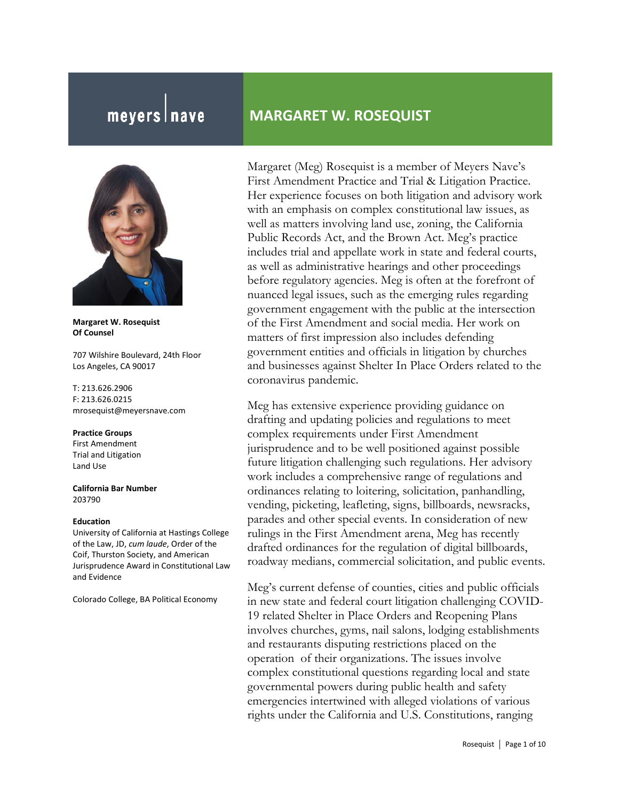# meyers nave

**Margaret W. Rosequist Of Counsel** 

707 Wilshire Boulevard, 24th Floor Los Angeles, CA 90017

T: 213.626.2906 F: 213.626.0215 mrosequist@meyersnave.com

#### **Practice Groups**

First Amendment Trial and Litigation Land Use

**California Bar Number**  203790

#### **Education**

University of California at Hastings College of the Law, JD, *cum laude*, Order of the Coif, Thurston Society, and American Jurisprudence Award in Constitutional Law and Evidence

Colorado College, BA Political Economy

# **MARGARET W. ROSEQUIST**

Margaret (Meg) Rosequist is a member of Meyers Nave's First Amendment Practice and Trial & Litigation Practice. Her experience focuses on both litigation and advisory work with an emphasis on complex constitutional law issues, as well as matters involving land use, zoning, the California Public Records Act, and the Brown Act. Meg's practice includes trial and appellate work in state and federal courts, as well as administrative hearings and other proceedings before regulatory agencies. Meg is often at the forefront of nuanced legal issues, such as the emerging rules regarding government engagement with the public at the intersection of the First Amendment and social media. Her work on matters of first impression also includes defending government entities and officials in litigation by churches and businesses against Shelter In Place Orders related to the coronavirus pandemic.

Meg has extensive experience providing guidance on drafting and updating policies and regulations to meet complex requirements under First Amendment jurisprudence and to be well positioned against possible future litigation challenging such regulations. Her advisory work includes a comprehensive range of regulations and ordinances relating to loitering, solicitation, panhandling, vending, picketing, leafleting, signs, billboards, newsracks, parades and other special events. In consideration of new rulings in the First Amendment arena, Meg has recently drafted ordinances for the regulation of digital billboards, roadway medians, commercial solicitation, and public events.

Meg's current defense of counties, cities and public officials in new state and federal court litigation challenging COVID-19 related Shelter in Place Orders and Reopening Plans involves churches, gyms, nail salons, lodging establishments and restaurants disputing restrictions placed on the operation of their organizations. The issues involve complex constitutional questions regarding local and state governmental powers during public health and safety emergencies intertwined with alleged violations of various rights under the California and U.S. Constitutions, ranging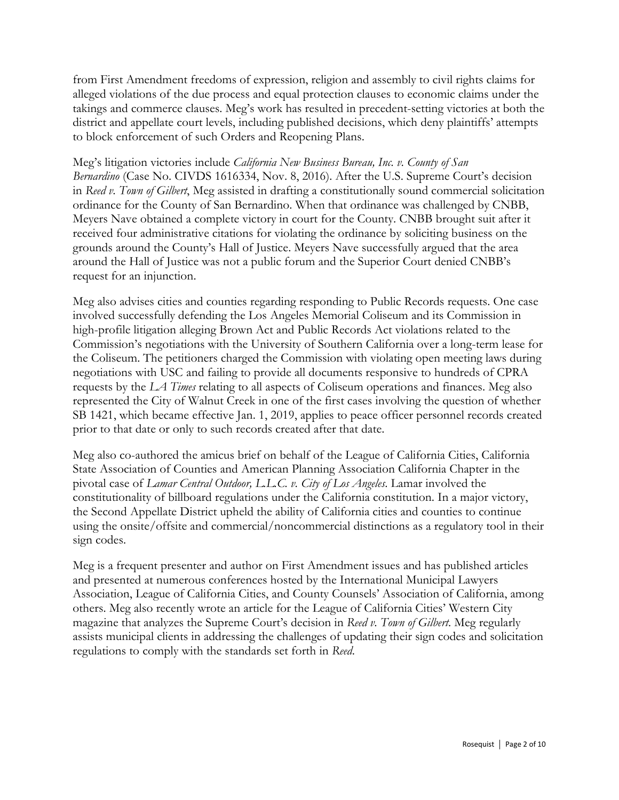from First Amendment freedoms of expression, religion and assembly to civil rights claims for alleged violations of the due process and equal protection clauses to economic claims under the takings and commerce clauses. Meg's work has resulted in precedent-setting victories at both the district and appellate court levels, including published decisions, which deny plaintiffs' attempts to block enforcement of such Orders and Reopening Plans.

Meg's litigation victories include *California New Business Bureau, Inc. v. County of San Bernardino* (Case No. CIVDS 1616334, Nov. 8, 2016). After the U.S. Supreme Court's decision in *Reed v. Town of Gilbert*, Meg assisted in drafting a constitutionally sound commercial solicitation ordinance for the County of San Bernardino. When that ordinance was challenged by CNBB, Meyers Nave obtained a complete victory in court for the County. CNBB brought suit after it received four administrative citations for violating the ordinance by soliciting business on the grounds around the County's Hall of Justice. Meyers Nave successfully argued that the area around the Hall of Justice was not a public forum and the Superior Court denied CNBB's request for an injunction.

Meg also advises cities and counties regarding responding to Public Records requests. One case involved successfully defending the Los Angeles Memorial Coliseum and its Commission in high-profile litigation alleging Brown Act and Public Records Act violations related to the Commission's negotiations with the University of Southern California over a long-term lease for the Coliseum. The petitioners charged the Commission with violating open meeting laws during negotiations with USC and failing to provide all documents responsive to hundreds of CPRA requests by the *LA Times* relating to all aspects of Coliseum operations and finances. Meg also represented the City of Walnut Creek in one of the first cases involving the question of whether SB 1421, which became effective Jan. 1, 2019, applies to peace officer personnel records created prior to that date or only to such records created after that date.

Meg also co-authored the amicus brief on behalf of the League of California Cities, California State Association of Counties and American Planning Association California Chapter in the pivotal case of *Lamar Central Outdoor, L.L.C. v. City of Los Angeles*. Lamar involved the constitutionality of billboard regulations under the California constitution. In a major victory, the Second Appellate District upheld the ability of California cities and counties to continue using the onsite/offsite and commercial/noncommercial distinctions as a regulatory tool in their sign codes.

Meg is a frequent presenter and author on First Amendment issues and has published articles and presented at numerous conferences hosted by the International Municipal Lawyers Association, League of California Cities, and County Counsels' Association of California, among others. Meg also recently wrote an article for the League of California Cities' Western City magazine that analyzes the Supreme Court's decision in *Reed v. Town of Gilbert*. Meg regularly assists municipal clients in addressing the challenges of updating their sign codes and solicitation regulations to comply with the standards set forth in *Reed*.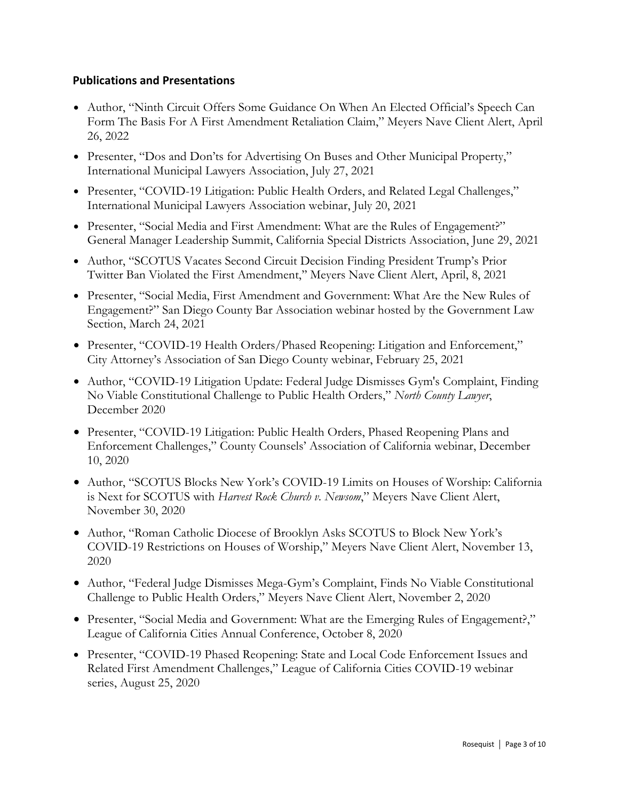#### **Publications and Presentations**

- Author, "Ninth Circuit Offers Some Guidance On When An Elected Official's Speech Can Form The Basis For A First Amendment Retaliation Claim," Meyers Nave Client Alert, April 26, 2022
- Presenter, "Dos and Don'ts for Advertising On Buses and Other Municipal Property," International Municipal Lawyers Association, July 27, 2021
- Presenter, "COVID-19 Litigation: Public Health Orders, and Related Legal Challenges," International Municipal Lawyers Association webinar, July 20, 2021
- Presenter, "Social Media and First Amendment: What are the Rules of Engagement?" General Manager Leadership Summit, California Special Districts Association, June 29, 2021
- Author, "SCOTUS Vacates Second Circuit Decision Finding President Trump's Prior Twitter Ban Violated the First Amendment,'' Meyers Nave Client Alert, April, 8, 2021
- Presenter, "Social Media, First Amendment and Government: What Are the New Rules of Engagement?" San Diego County Bar Association webinar hosted by the Government Law Section, March 24, 2021
- Presenter, "COVID-19 Health Orders/Phased Reopening: Litigation and Enforcement," City Attorney's Association of San Diego County webinar, February 25, 2021
- Author, "COVID-19 Litigation Update: Federal Judge Dismisses Gym's Complaint, Finding No Viable Constitutional Challenge to Public Health Orders," *North County Lawyer*, December 2020
- Presenter, "COVID-19 Litigation: Public Health Orders, Phased Reopening Plans and Enforcement Challenges," County Counsels' Association of California webinar, December 10, 2020
- Author, "SCOTUS Blocks New York's COVID-19 Limits on Houses of Worship: California is Next for SCOTUS with *Harvest Rock Church v. Newsom*," Meyers Nave Client Alert, November 30, 2020
- Author, "Roman Catholic Diocese of Brooklyn Asks SCOTUS to Block New York's COVID-19 Restrictions on Houses of Worship," Meyers Nave Client Alert, November 13, 2020
- Author, "Federal Judge Dismisses Mega-Gym's Complaint, Finds No Viable Constitutional Challenge to Public Health Orders," Meyers Nave Client Alert, November 2, 2020
- Presenter, "Social Media and Government: What are the Emerging Rules of Engagement?," League of California Cities Annual Conference, October 8, 2020
- Presenter, "COVID-19 Phased Reopening: State and Local Code Enforcement Issues and Related First Amendment Challenges," League of California Cities COVID-19 webinar series, August 25, 2020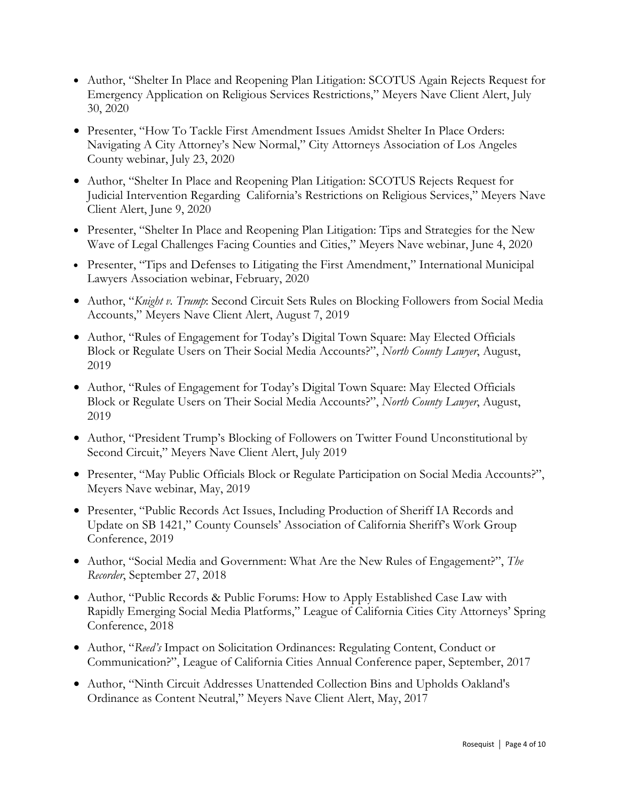- Author, "Shelter In Place and Reopening Plan Litigation: SCOTUS Again Rejects Request for Emergency Application on Religious Services Restrictions," Meyers Nave Client Alert, July 30, 2020
- Presenter, "How To Tackle First Amendment Issues Amidst Shelter In Place Orders: Navigating A City Attorney's New Normal," City Attorneys Association of Los Angeles County webinar, July 23, 2020
- Author, "Shelter In Place and Reopening Plan Litigation: SCOTUS Rejects Request for Judicial Intervention Regarding California's Restrictions on Religious Services," Meyers Nave Client Alert, June 9, 2020
- Presenter, "Shelter In Place and Reopening Plan Litigation: Tips and Strategies for the New Wave of Legal Challenges Facing Counties and Cities," Meyers Nave webinar, June 4, 2020
- Presenter, "Tips and Defenses to Litigating the First Amendment," International Municipal Lawyers Association webinar, February, 2020
- Author, "*Knight v. Trump*: Second Circuit Sets Rules on Blocking Followers from Social Media Accounts," Meyers Nave Client Alert, August 7, 2019
- Author, "Rules of Engagement for Today's Digital Town Square: May Elected Officials Block or Regulate Users on Their Social Media Accounts?", *North County Lawyer*, August, 2019
- Author, "Rules of Engagement for Today's Digital Town Square: May Elected Officials Block or Regulate Users on Their Social Media Accounts?", *North County Lawyer*, August, 2019
- Author, "President Trump's Blocking of Followers on Twitter Found Unconstitutional by Second Circuit," Meyers Nave Client Alert, July 2019
- Presenter, "May Public Officials Block or Regulate Participation on Social Media Accounts?", Meyers Nave webinar, May, 2019
- Presenter, "Public Records Act Issues, Including Production of Sheriff IA Records and Update on SB 1421," County Counsels' Association of California Sheriff's Work Group Conference, 2019
- Author, "Social Media and Government: What Are the New Rules of Engagement?", *The Recorder*, September 27, 2018
- Author, "Public Records & Public Forums: How to Apply Established Case Law with Rapidly Emerging Social Media Platforms," League of California Cities City Attorneys' Spring Conference, 2018
- Author, "*Reed's* Impact on Solicitation Ordinances: Regulating Content, Conduct or Communication?", League of California Cities Annual Conference paper, September, 2017
- Author, "Ninth Circuit Addresses Unattended Collection Bins and Upholds Oakland's Ordinance as Content Neutral," Meyers Nave Client Alert, May, 2017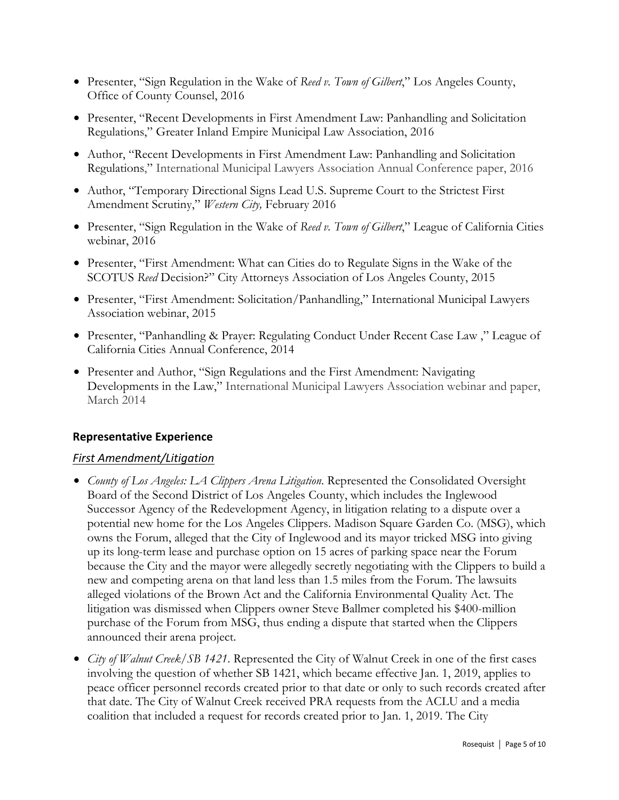- Presenter, "Sign Regulation in the Wake of *Reed v. Town of Gilbert*," Los Angeles County, Office of County Counsel, 2016
- Presenter, "Recent Developments in First Amendment Law: Panhandling and Solicitation Regulations," Greater Inland Empire Municipal Law Association, 2016
- Author, "Recent Developments in First Amendment Law: Panhandling and Solicitation Regulations," International Municipal Lawyers Association Annual Conference paper, 2016
- Author, "Temporary Directional Signs Lead U.S. Supreme Court to the Strictest First Amendment Scrutiny," *Western City,* February 2016
- Presenter, "Sign Regulation in the Wake of *Reed v. Town of Gilbert*," League of California Cities webinar, 2016
- Presenter, "First Amendment: What can Cities do to Regulate Signs in the Wake of the SCOTUS *Reed* Decision?" City Attorneys Association of Los Angeles County, 2015
- Presenter, "First Amendment: Solicitation/Panhandling," International Municipal Lawyers Association webinar, 2015
- Presenter, "Panhandling & Prayer: Regulating Conduct Under Recent Case Law ," League of California Cities Annual Conference, 2014
- Presenter and Author, "Sign Regulations and the First Amendment: Navigating Developments in the Law," International Municipal Lawyers Association webinar and paper, March 2014

#### **Representative Experience**

## *First Amendment/Litigation*

- *County of Los Angeles: LA Clippers Arena Litigation*. Represented the Consolidated Oversight Board of the Second District of Los Angeles County, which includes the Inglewood Successor Agency of the Redevelopment Agency, in litigation relating to a dispute over a potential new home for the Los Angeles Clippers. Madison Square Garden Co. (MSG), which owns the Forum, alleged that the City of Inglewood and its mayor tricked MSG into giving up its long-term lease and purchase option on 15 acres of parking space near the Forum because the City and the mayor were allegedly secretly negotiating with the Clippers to build a new and competing arena on that land less than 1.5 miles from the Forum. The lawsuits alleged violations of the Brown Act and the California Environmental Quality Act. The litigation was dismissed when Clippers owner Steve Ballmer completed his \$400-million purchase of the Forum from MSG, thus ending a dispute that started when the Clippers announced their arena project.
- *City of Walnut Creek/SB 1421*. Represented the City of Walnut Creek in one of the first cases involving the question of whether SB 1421, which became effective Jan. 1, 2019, applies to peace officer personnel records created prior to that date or only to such records created after that date. The City of Walnut Creek received PRA requests from the ACLU and a media coalition that included a request for records created prior to Jan. 1, 2019. The City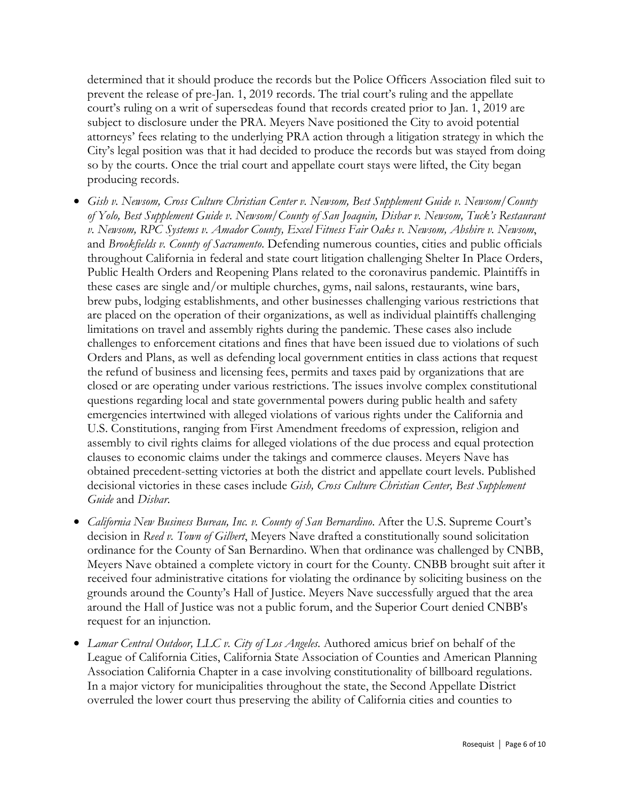determined that it should produce the records but the Police Officers Association filed suit to prevent the release of pre-Jan. 1, 2019 records. The trial court's ruling and the appellate court's ruling on a writ of supersedeas found that records created prior to Jan. 1, 2019 are subject to disclosure under the PRA. Meyers Nave positioned the City to avoid potential attorneys' fees relating to the underlying PRA action through a litigation strategy in which the City's legal position was that it had decided to produce the records but was stayed from doing so by the courts. Once the trial court and appellate court stays were lifted, the City began producing records.

- *Gish v. Newsom, Cross Culture Christian Center v. Newsom, Best Supplement Guide v. Newsom/County of Yolo, Best Supplement Guide v. Newsom/County of San Joaquin, Disbar v. Newsom, Tuck's Restaurant v. Newsom, RPC Systems v. Amador County, Excel Fitness Fair Oaks v. Newsom, Abshire v. Newsom*, and *Brookfields v. County of Sacramento*. Defending numerous counties, cities and public officials throughout California in federal and state court litigation challenging Shelter In Place Orders, Public Health Orders and Reopening Plans related to the coronavirus pandemic. Plaintiffs in these cases are single and/or multiple churches, gyms, nail salons, restaurants, wine bars, brew pubs, lodging establishments, and other businesses challenging various restrictions that are placed on the operation of their organizations, as well as individual plaintiffs challenging limitations on travel and assembly rights during the pandemic. These cases also include challenges to enforcement citations and fines that have been issued due to violations of such Orders and Plans, as well as defending local government entities in class actions that request the refund of business and licensing fees, permits and taxes paid by organizations that are closed or are operating under various restrictions. The issues involve complex constitutional questions regarding local and state governmental powers during public health and safety emergencies intertwined with alleged violations of various rights under the California and U.S. Constitutions, ranging from First Amendment freedoms of expression, religion and assembly to civil rights claims for alleged violations of the due process and equal protection clauses to economic claims under the takings and commerce clauses. Meyers Nave has obtained precedent-setting victories at both the district and appellate court levels. Published decisional victories in these cases include *Gish, Cross Culture Christian Center, Best Supplement Guide* and *Disbar*.
- *California New Business Bureau, Inc. v. County of San Bernardino*. After the U.S. Supreme Court's decision in *Reed v. Town of Gilbert*, Meyers Nave drafted a constitutionally sound solicitation ordinance for the County of San Bernardino. When that ordinance was challenged by CNBB, Meyers Nave obtained a complete victory in court for the County. CNBB brought suit after it received four administrative citations for violating the ordinance by soliciting business on the grounds around the County's Hall of Justice. Meyers Nave successfully argued that the area around the Hall of Justice was not a public forum, and the Superior Court denied CNBB's request for an injunction.
- *Lamar Central Outdoor, LLC v. City of Los Angeles*. Authored amicus brief on behalf of the League of California Cities, California State Association of Counties and American Planning Association California Chapter in a case involving constitutionality of billboard regulations. In a major victory for municipalities throughout the state, the Second Appellate District overruled the lower court thus preserving the ability of California cities and counties to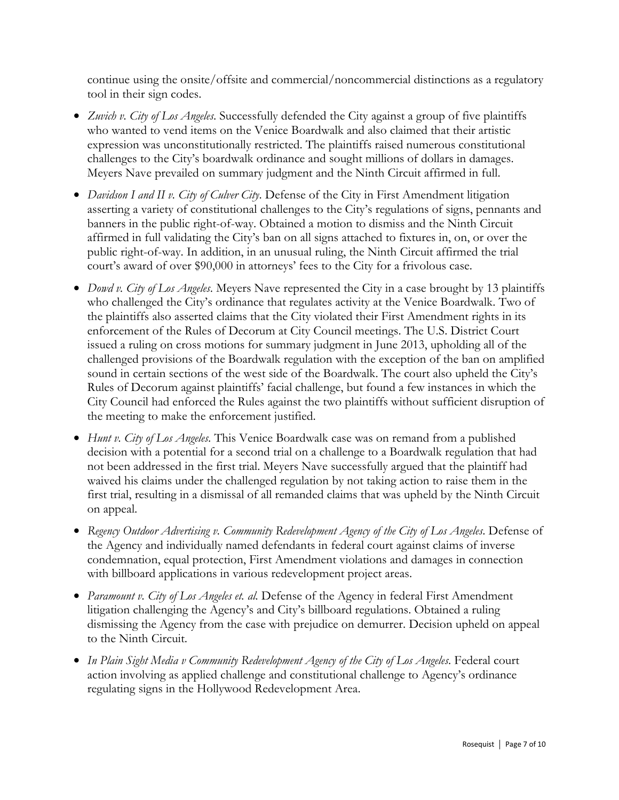continue using the onsite/offsite and commercial/noncommercial distinctions as a regulatory tool in their sign codes.

- *Zuvich v. City of Los Angeles*. Successfully defended the City against a group of five plaintiffs who wanted to vend items on the Venice Boardwalk and also claimed that their artistic expression was unconstitutionally restricted. The plaintiffs raised numerous constitutional challenges to the City's boardwalk ordinance and sought millions of dollars in damages. Meyers Nave prevailed on summary judgment and the Ninth Circuit affirmed in full.
- *Davidson I and II v. City of Culver City*. Defense of the City in First Amendment litigation asserting a variety of constitutional challenges to the City's regulations of signs, pennants and banners in the public right-of-way. Obtained a motion to dismiss and the Ninth Circuit affirmed in full validating the City's ban on all signs attached to fixtures in, on, or over the public right-of-way. In addition, in an unusual ruling, the Ninth Circuit affirmed the trial court's award of over \$90,000 in attorneys' fees to the City for a frivolous case.
- *Dowd v. City of Los Angeles*. Meyers Nave represented the City in a case brought by 13 plaintiffs who challenged the City's ordinance that regulates activity at the Venice Boardwalk. Two of the plaintiffs also asserted claims that the City violated their First Amendment rights in its enforcement of the Rules of Decorum at City Council meetings. The U.S. District Court issued a ruling on cross motions for summary judgment in June 2013, upholding all of the challenged provisions of the Boardwalk regulation with the exception of the ban on amplified sound in certain sections of the west side of the Boardwalk. The court also upheld the City's Rules of Decorum against plaintiffs' facial challenge, but found a few instances in which the City Council had enforced the Rules against the two plaintiffs without sufficient disruption of the meeting to make the enforcement justified.
- *Hunt v. City of Los Angeles*. This Venice Boardwalk case was on remand from a published decision with a potential for a second trial on a challenge to a Boardwalk regulation that had not been addressed in the first trial. Meyers Nave successfully argued that the plaintiff had waived his claims under the challenged regulation by not taking action to raise them in the first trial, resulting in a dismissal of all remanded claims that was upheld by the Ninth Circuit on appeal.
- *Regency Outdoor Advertising v. Community Redevelopment Agency of the City of Los Angeles*. Defense of the Agency and individually named defendants in federal court against claims of inverse condemnation, equal protection, First Amendment violations and damages in connection with billboard applications in various redevelopment project areas.
- *Paramount v. City of Los Angeles et. al.* Defense of the Agency in federal First Amendment litigation challenging the Agency's and City's billboard regulations. Obtained a ruling dismissing the Agency from the case with prejudice on demurrer. Decision upheld on appeal to the Ninth Circuit.
- *In Plain Sight Media v Community Redevelopment Agency of the City of Los Angeles*. Federal court action involving as applied challenge and constitutional challenge to Agency's ordinance regulating signs in the Hollywood Redevelopment Area.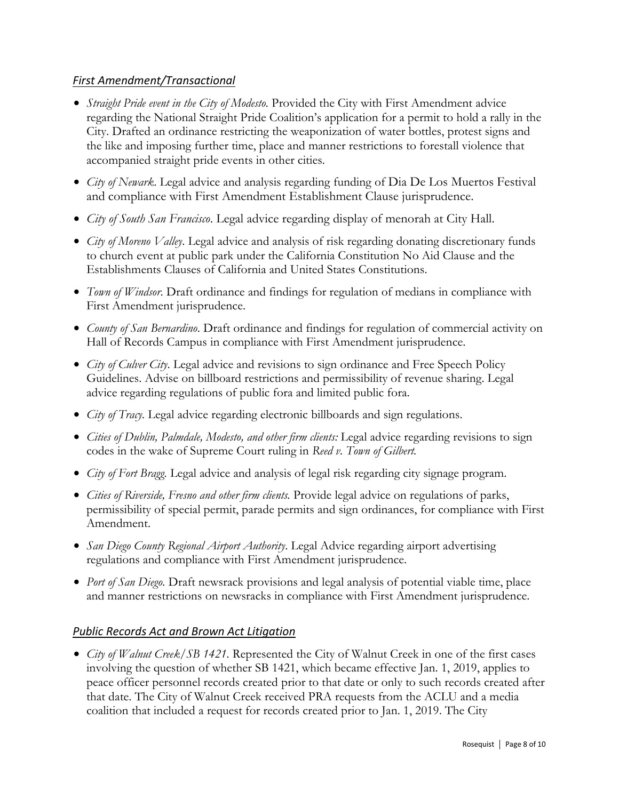#### *First Amendment/Transactional*

- *Straight Pride event in the City of Modesto*. Provided the City with First Amendment advice regarding the National Straight Pride Coalition's application for a permit to hold a rally in the City. Drafted an ordinance restricting the weaponization of water bottles, protest signs and the like and imposing further time, place and manner restrictions to forestall violence that accompanied straight pride events in other cities.
- *City of Newark*. Legal advice and analysis regarding funding of Dia De Los Muertos Festival and compliance with First Amendment Establishment Clause jurisprudence.
- *City of South San Francisco*. Legal advice regarding display of menorah at City Hall.
- *City of Moreno Valley*. Legal advice and analysis of risk regarding donating discretionary funds to church event at public park under the California Constitution No Aid Clause and the Establishments Clauses of California and United States Constitutions.
- *Town of Windsor*. Draft ordinance and findings for regulation of medians in compliance with First Amendment jurisprudence.
- *County of San Bernardino*. Draft ordinance and findings for regulation of commercial activity on Hall of Records Campus in compliance with First Amendment jurisprudence.
- *City of Culver City*. Legal advice and revisions to sign ordinance and Free Speech Policy Guidelines. Advise on billboard restrictions and permissibility of revenue sharing. Legal advice regarding regulations of public fora and limited public fora.
- *City of Tracy.* Legal advice regarding electronic billboards and sign regulations.
- *Cities of Dublin, Palmdale, Modesto, and other firm clients:* Legal advice regarding revisions to sign codes in the wake of Supreme Court ruling in *Reed v. Town of Gilbert.*
- *City of Fort Bragg.* Legal advice and analysis of legal risk regarding city signage program.
- *Cities of Riverside, Fresno and other firm clients.* Provide legal advice on regulations of parks, permissibility of special permit, parade permits and sign ordinances, for compliance with First Amendment.
- *San Diego County Regional Airport Authority*. Legal Advice regarding airport advertising regulations and compliance with First Amendment jurisprudence.
- *Port of San Diego.* Draft newsrack provisions and legal analysis of potential viable time, place and manner restrictions on newsracks in compliance with First Amendment jurisprudence.

## *Public Records Act and Brown Act Litigation*

• *City of Walnut Creek/SB 1421.* Represented the City of Walnut Creek in one of the first cases involving the question of whether SB 1421, which became effective Jan. 1, 2019, applies to peace officer personnel records created prior to that date or only to such records created after that date. The City of Walnut Creek received PRA requests from the ACLU and a media coalition that included a request for records created prior to Jan. 1, 2019. The City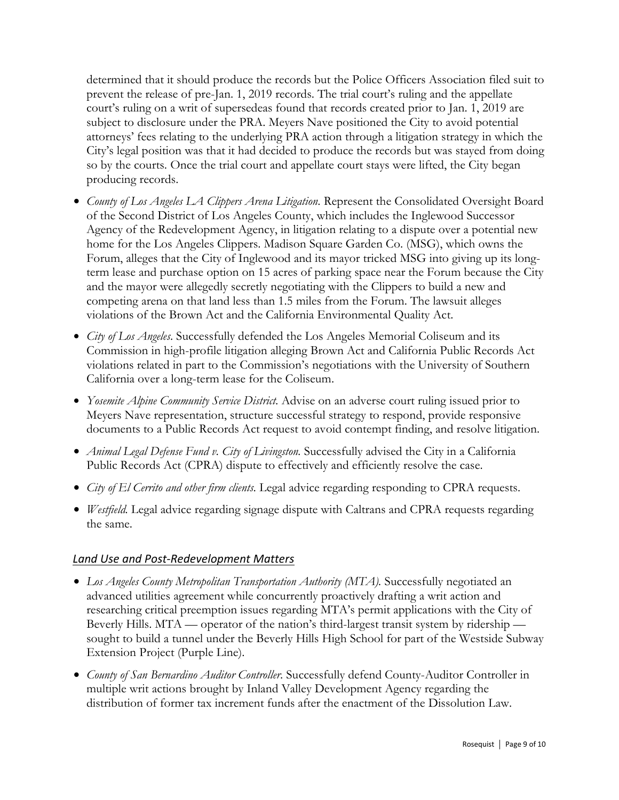determined that it should produce the records but the Police Officers Association filed suit to prevent the release of pre-Jan. 1, 2019 records. The trial court's ruling and the appellate court's ruling on a writ of supersedeas found that records created prior to Jan. 1, 2019 are subject to disclosure under the PRA. Meyers Nave positioned the City to avoid potential attorneys' fees relating to the underlying PRA action through a litigation strategy in which the City's legal position was that it had decided to produce the records but was stayed from doing so by the courts. Once the trial court and appellate court stays were lifted, the City began producing records.

- *County of Los Angeles LA Clippers Arena Litigation*. Represent the Consolidated Oversight Board of the Second District of Los Angeles County, which includes the Inglewood Successor Agency of the Redevelopment Agency, in litigation relating to a dispute over a potential new home for the Los Angeles Clippers. Madison Square Garden Co. (MSG), which owns the Forum, alleges that the City of Inglewood and its mayor tricked MSG into giving up its longterm lease and purchase option on 15 acres of parking space near the Forum because the City and the mayor were allegedly secretly negotiating with the Clippers to build a new and competing arena on that land less than 1.5 miles from the Forum. The lawsuit alleges violations of the Brown Act and the California Environmental Quality Act.
- *City of Los Angeles*. Successfully defended the Los Angeles Memorial Coliseum and its Commission in high-profile litigation alleging Brown Act and California Public Records Act violations related in part to the Commission's negotiations with the University of Southern California over a long-term lease for the Coliseum.
- *Yosemite Alpine Community Service District.* Advise on an adverse court ruling issued prior to Meyers Nave representation, structure successful strategy to respond, provide responsive documents to a Public Records Act request to avoid contempt finding, and resolve litigation.
- *Animal Legal Defense Fund v. City of Livingston.* Successfully advised the City in a California Public Records Act (CPRA) dispute to effectively and efficiently resolve the case.
- *City of El Cerrito and other firm clients.* Legal advice regarding responding to CPRA requests.
- *Westfield.* Legal advice regarding signage dispute with Caltrans and CPRA requests regarding the same.

#### *Land Use and Post-Redevelopment Matters*

- *Los Angeles County Metropolitan Transportation Authority (MTA).* Successfully negotiated an advanced utilities agreement while concurrently proactively drafting a writ action and researching critical preemption issues regarding MTA's permit applications with the City of Beverly Hills. MTA — operator of the nation's third-largest transit system by ridership sought to build a tunnel under the Beverly Hills High School for part of the Westside Subway Extension Project (Purple Line).
- *County of San Bernardino Auditor Controller*. Successfully defend County-Auditor Controller in multiple writ actions brought by Inland Valley Development Agency regarding the distribution of former tax increment funds after the enactment of the Dissolution Law.